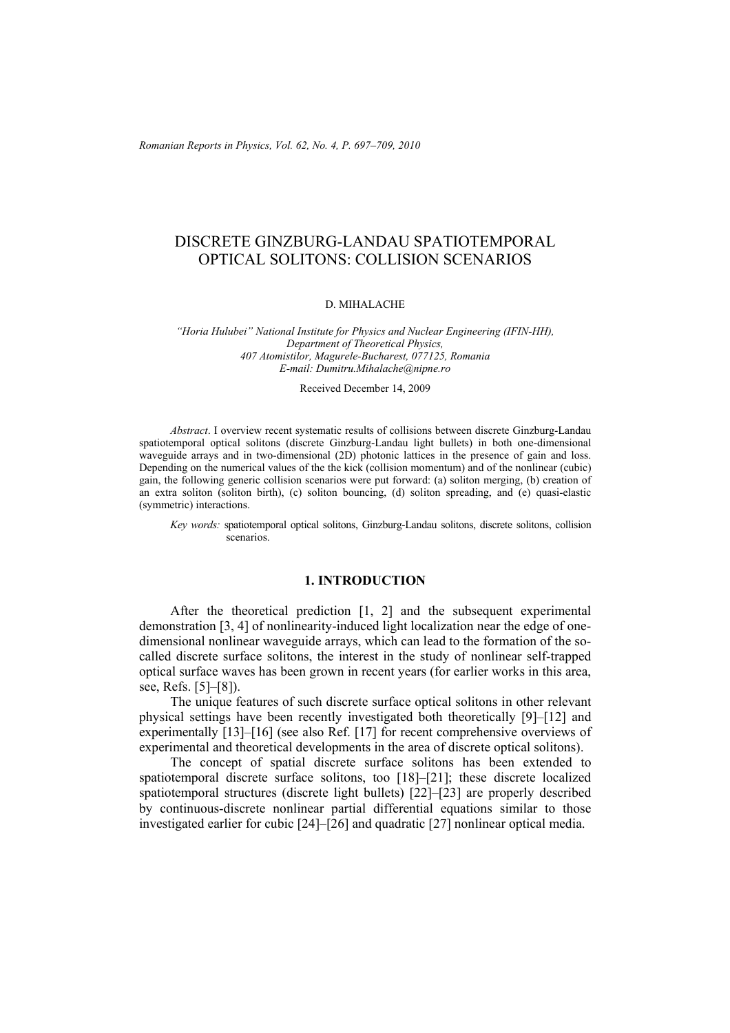*Romanian Reports in Physics, Vol. 62, No. 4, P. 697–709, 2010* 

# DISCRETE GINZBURG-LANDAU SPATIOTEMPORAL OPTICAL SOLITONS: COLLISION SCENARIOS

#### D. MIHALACHE

*"Horia Hulubei" National Institute for Physics and Nuclear Engineering (IFIN-HH), Department of Theoretical Physics, 407 Atomistilor, Magurele-Bucharest, 077125, Romania E-mail: Dumitru.Mihalache@nipne.ro* 

Received December 14, 2009

*Abstract*. I overview recent systematic results of collisions between discrete Ginzburg-Landau spatiotemporal optical solitons (discrete Ginzburg-Landau light bullets) in both one-dimensional waveguide arrays and in two-dimensional (2D) photonic lattices in the presence of gain and loss. Depending on the numerical values of the the kick (collision momentum) and of the nonlinear (cubic) gain, the following generic collision scenarios were put forward: (a) soliton merging, (b) creation of an extra soliton (soliton birth), (c) soliton bouncing, (d) soliton spreading, and (e) quasi-elastic (symmetric) interactions.

*Key words:* spatiotemporal optical solitons, Ginzburg-Landau solitons, discrete solitons, collision scenarios.

#### **1. INTRODUCTION**

After the theoretical prediction [1, 2] and the subsequent experimental demonstration [3, 4] of nonlinearity-induced light localization near the edge of onedimensional nonlinear waveguide arrays, which can lead to the formation of the socalled discrete surface solitons, the interest in the study of nonlinear self-trapped optical surface waves has been grown in recent years (for earlier works in this area, see, Refs. [5]–[8]).

The unique features of such discrete surface optical solitons in other relevant physical settings have been recently investigated both theoretically [9]–[12] and experimentally [13]–[16] (see also Ref. [17] for recent comprehensive overviews of experimental and theoretical developments in the area of discrete optical solitons).

The concept of spatial discrete surface solitons has been extended to spatiotemporal discrete surface solitons, too [18]–[21]; these discrete localized spatiotemporal structures (discrete light bullets) [22]–[23] are properly described by continuous-discrete nonlinear partial differential equations similar to those investigated earlier for cubic [24]–[26] and quadratic [27] nonlinear optical media.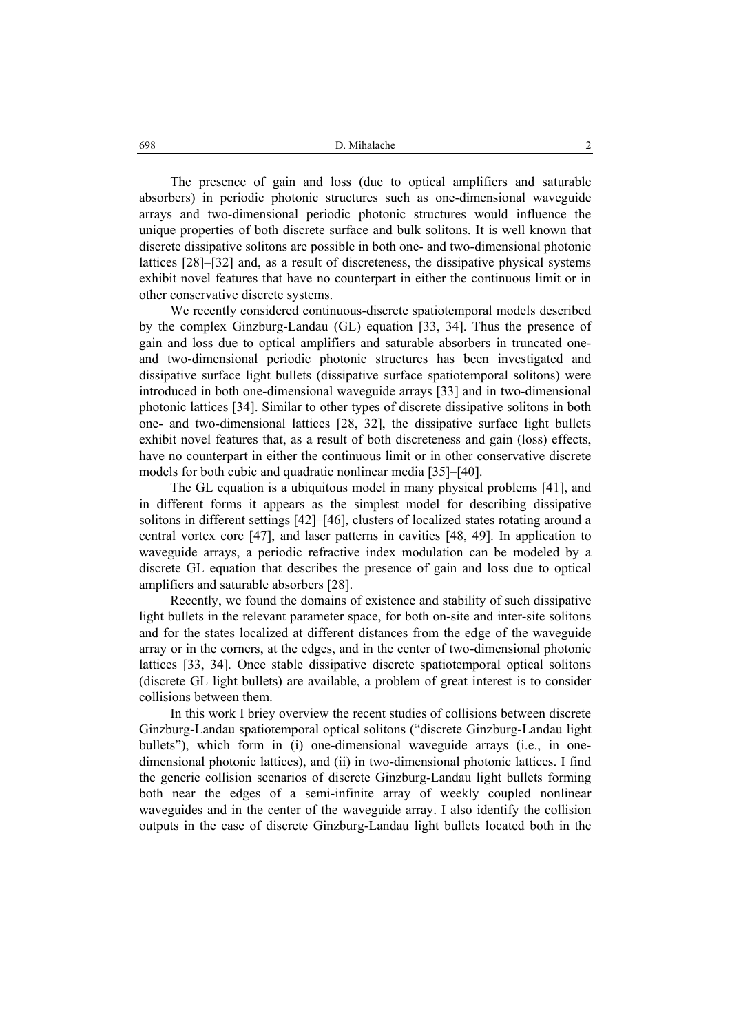The presence of gain and loss (due to optical amplifiers and saturable absorbers) in periodic photonic structures such as one-dimensional waveguide arrays and two-dimensional periodic photonic structures would influence the unique properties of both discrete surface and bulk solitons. It is well known that discrete dissipative solitons are possible in both one- and two-dimensional photonic lattices [28]–[32] and, as a result of discreteness, the dissipative physical systems exhibit novel features that have no counterpart in either the continuous limit or in other conservative discrete systems.

We recently considered continuous-discrete spatiotemporal models described by the complex Ginzburg-Landau (GL) equation [33, 34]. Thus the presence of gain and loss due to optical amplifiers and saturable absorbers in truncated oneand two-dimensional periodic photonic structures has been investigated and dissipative surface light bullets (dissipative surface spatiotemporal solitons) were introduced in both one-dimensional waveguide arrays [33] and in two-dimensional photonic lattices [34]. Similar to other types of discrete dissipative solitons in both one- and two-dimensional lattices [28, 32], the dissipative surface light bullets exhibit novel features that, as a result of both discreteness and gain (loss) effects, have no counterpart in either the continuous limit or in other conservative discrete models for both cubic and quadratic nonlinear media [35]–[40].

The GL equation is a ubiquitous model in many physical problems [41], and in different forms it appears as the simplest model for describing dissipative solitons in different settings [42]–[46], clusters of localized states rotating around a central vortex core [47], and laser patterns in cavities [48, 49]. In application to waveguide arrays, a periodic refractive index modulation can be modeled by a discrete GL equation that describes the presence of gain and loss due to optical amplifiers and saturable absorbers [28].

Recently, we found the domains of existence and stability of such dissipative light bullets in the relevant parameter space, for both on-site and inter-site solitons and for the states localized at different distances from the edge of the waveguide array or in the corners, at the edges, and in the center of two-dimensional photonic lattices [33, 34]. Once stable dissipative discrete spatiotemporal optical solitons (discrete GL light bullets) are available, a problem of great interest is to consider collisions between them.

In this work I briey overview the recent studies of collisions between discrete Ginzburg-Landau spatiotemporal optical solitons ("discrete Ginzburg-Landau light bullets"), which form in (i) one-dimensional waveguide arrays (i.e., in onedimensional photonic lattices), and (ii) in two-dimensional photonic lattices. I find the generic collision scenarios of discrete Ginzburg-Landau light bullets forming both near the edges of a semi-infinite array of weekly coupled nonlinear waveguides and in the center of the waveguide array. I also identify the collision outputs in the case of discrete Ginzburg-Landau light bullets located both in the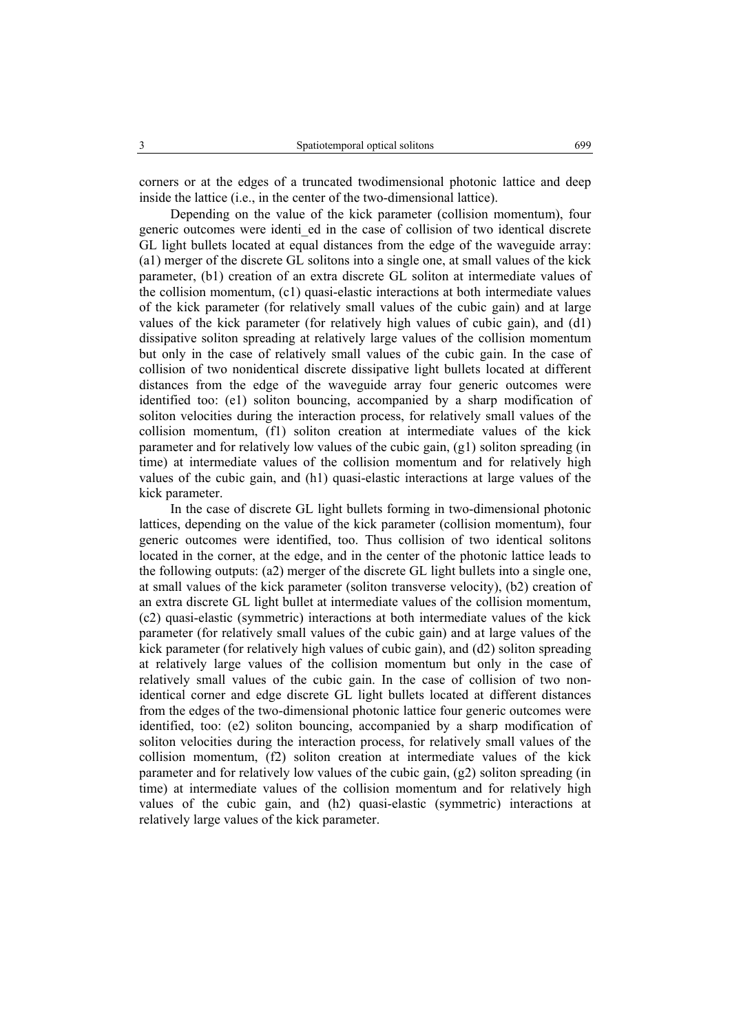corners or at the edges of a truncated twodimensional photonic lattice and deep inside the lattice (i.e., in the center of the two-dimensional lattice).

Depending on the value of the kick parameter (collision momentum), four generic outcomes were identi\_ed in the case of collision of two identical discrete GL light bullets located at equal distances from the edge of the waveguide array: (a1) merger of the discrete GL solitons into a single one, at small values of the kick parameter, (b1) creation of an extra discrete GL soliton at intermediate values of the collision momentum, (c1) quasi-elastic interactions at both intermediate values of the kick parameter (for relatively small values of the cubic gain) and at large values of the kick parameter (for relatively high values of cubic gain), and (d1) dissipative soliton spreading at relatively large values of the collision momentum but only in the case of relatively small values of the cubic gain. In the case of collision of two nonidentical discrete dissipative light bullets located at different distances from the edge of the waveguide array four generic outcomes were identified too: (e1) soliton bouncing, accompanied by a sharp modification of soliton velocities during the interaction process, for relatively small values of the collision momentum, (f1) soliton creation at intermediate values of the kick parameter and for relatively low values of the cubic gain, (g1) soliton spreading (in time) at intermediate values of the collision momentum and for relatively high values of the cubic gain, and (h1) quasi-elastic interactions at large values of the kick parameter.

In the case of discrete GL light bullets forming in two-dimensional photonic lattices, depending on the value of the kick parameter (collision momentum), four generic outcomes were identified, too. Thus collision of two identical solitons located in the corner, at the edge, and in the center of the photonic lattice leads to the following outputs: (a2) merger of the discrete GL light bullets into a single one, at small values of the kick parameter (soliton transverse velocity), (b2) creation of an extra discrete GL light bullet at intermediate values of the collision momentum, (c2) quasi-elastic (symmetric) interactions at both intermediate values of the kick parameter (for relatively small values of the cubic gain) and at large values of the kick parameter (for relatively high values of cubic gain), and (d2) soliton spreading at relatively large values of the collision momentum but only in the case of relatively small values of the cubic gain. In the case of collision of two nonidentical corner and edge discrete GL light bullets located at different distances from the edges of the two-dimensional photonic lattice four generic outcomes were identified, too: (e2) soliton bouncing, accompanied by a sharp modification of soliton velocities during the interaction process, for relatively small values of the collision momentum, (f2) soliton creation at intermediate values of the kick parameter and for relatively low values of the cubic gain, (g2) soliton spreading (in time) at intermediate values of the collision momentum and for relatively high values of the cubic gain, and (h2) quasi-elastic (symmetric) interactions at relatively large values of the kick parameter.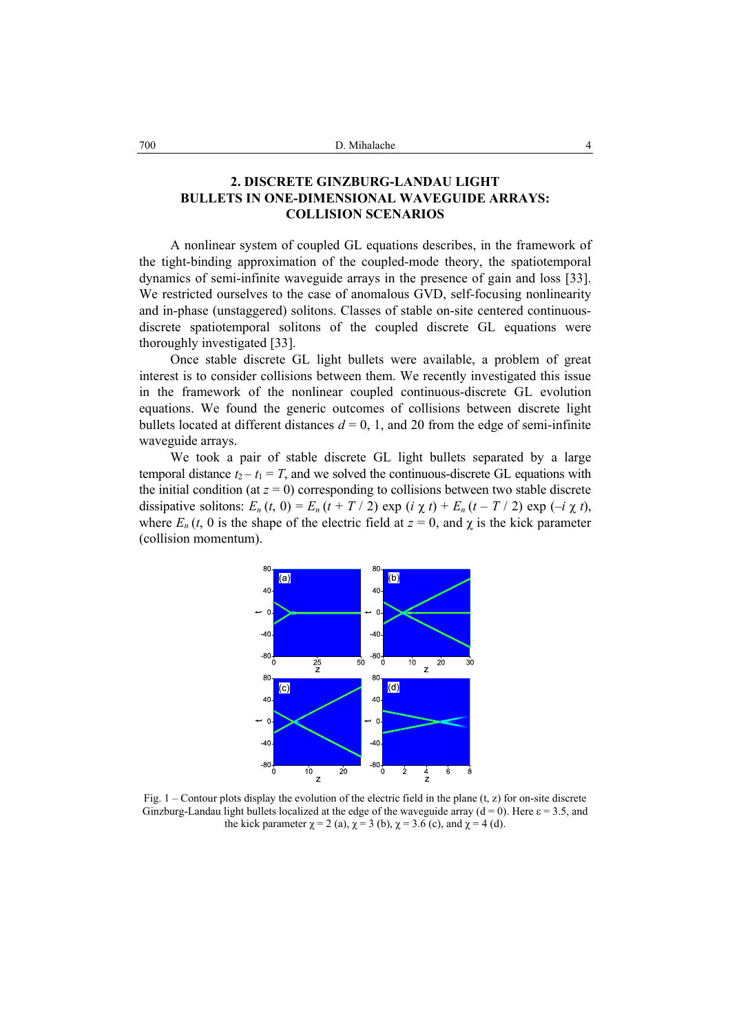## **2. DISCRETE GINZBURG-LANDAU LIGHT BULLETS IN ONE-DIMENSIONAL WAVEGUIDE ARRAYS: COLLISION SCENARIOS**

A nonlinear system of coupled GL equations describes, in the framework of the tight-binding approximation of the coupled-mode theory, the spatiotemporal dynamics of semi-infinite waveguide arrays in the presence of gain and loss [33]. We restricted ourselves to the case of anomalous GVD, self-focusing nonlinearity and in-phase (unstaggered) solitons. Classes of stable on-site centered continuousdiscrete spatiotemporal solitons of the coupled discrete GL equations were thoroughly investigated [33].

Once stable discrete GL light bullets were available, a problem of great interest is to consider collisions between them. We recently investigated this issue in the framework of the nonlinear coupled continuous-discrete GL evolution equations. We found the generic outcomes of collisions between discrete light bullets located at different distances  $d = 0, 1$ , and 20 from the edge of semi-infinite waveguide arrays.

We took a pair of stable discrete GL light bullets separated by a large temporal distance  $t_2 - t_1 = T$ , and we solved the continuous-discrete GL equations with the initial condition (at  $z = 0$ ) corresponding to collisions between two stable discrete dissipative solitons:  $E_n(t, 0) = E_n(t + T/2) \exp(i \chi t) + E_n(t - T/2) \exp(-i \chi t)$ , where  $E_n(t, 0)$  is the shape of the electric field at  $z = 0$ , and  $\chi$  is the kick parameter (collision momentum).



Fig.  $1$  – Contour plots display the evolution of the electric field in the plane (t, z) for on-site discrete Ginzburg-Landau light bullets localized at the edge of the waveguide array ( $d = 0$ ). Here  $\varepsilon = 3.5$ , and the kick parameter  $\chi = 2$  (a),  $\chi = 3$  (b),  $\chi = 3.6$  (c), and  $\chi = 4$  (d).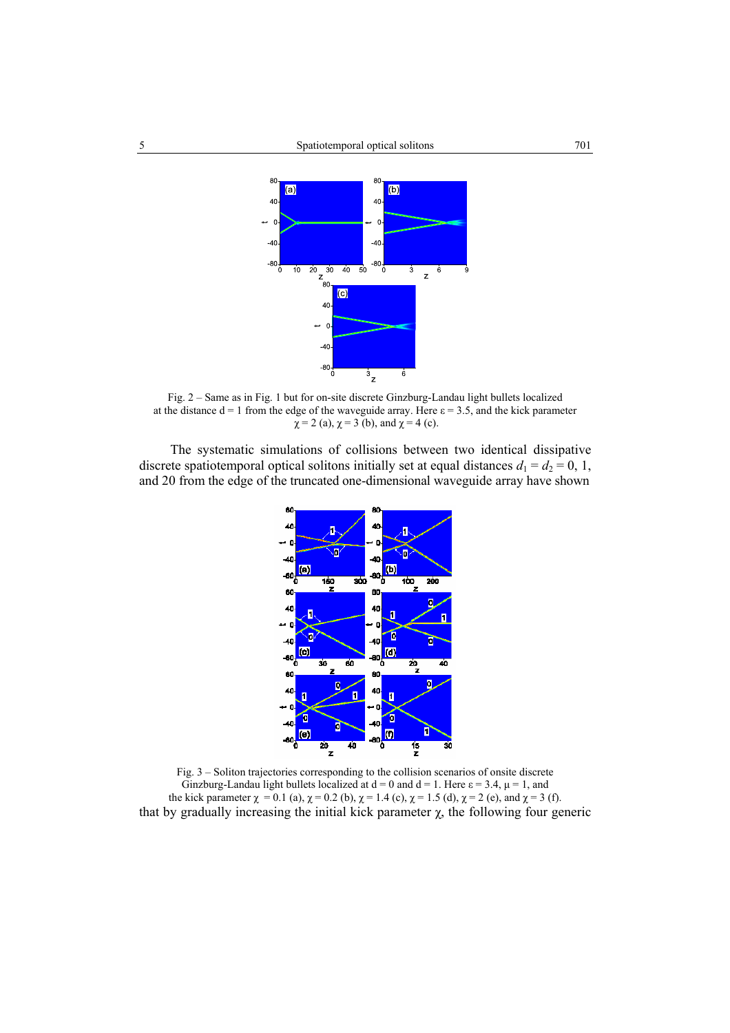

Fig. 2 – Same as in Fig. 1 but for on-site discrete Ginzburg-Landau light bullets localized at the distance  $d = 1$  from the edge of the waveguide array. Here  $\varepsilon = 3.5$ , and the kick parameter  $\chi = 2$  (a),  $\chi = 3$  (b), and  $\chi = 4$  (c).

The systematic simulations of collisions between two identical dissipative discrete spatiotemporal optical solitons initially set at equal distances  $d_1 = d_2 = 0, 1,$ and 20 from the edge of the truncated one-dimensional waveguide array have shown



Fig. 3 – Soliton trajectories corresponding to the collision scenarios of onsite discrete Ginzburg-Landau light bullets localized at  $d = 0$  and  $d = 1$ . Here  $\varepsilon = 3.4$ ,  $\mu = 1$ , and the kick parameter  $\chi = 0.1$  (a),  $\chi = 0.2$  (b),  $\chi = 1.4$  (c),  $\chi = 1.5$  (d),  $\chi = 2$  (e), and  $\chi = 3$  (f). that by gradually increasing the initial kick parameter  $χ$ , the following four generic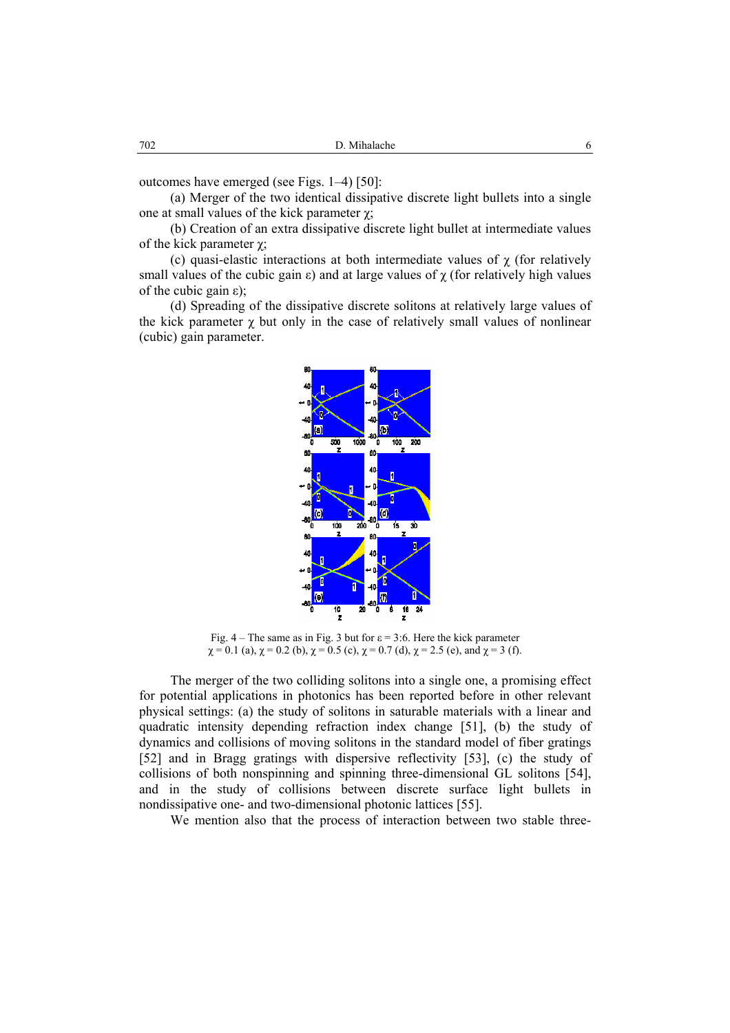outcomes have emerged (see Figs. 1–4) [50]:

(a) Merger of the two identical dissipative discrete light bullets into a single one at small values of the kick parameter  $χ$ ;

(b) Creation of an extra dissipative discrete light bullet at intermediate values of the kick parameter  $\chi$ ;

(c) quasi-elastic interactions at both intermediate values of  $\chi$  (for relatively small values of the cubic gain  $\varepsilon$ ) and at large values of  $\chi$  (for relatively high values of the cubic gain ε);

(d) Spreading of the dissipative discrete solitons at relatively large values of the kick parameter  $\gamma$  but only in the case of relatively small values of nonlinear (cubic) gain parameter.



Fig. 4 – The same as in Fig. 3 but for  $\varepsilon = 3.6$ . Here the kick parameter  $\chi = 0.1$  (a),  $\chi = 0.2$  (b),  $\chi = 0.5$  (c),  $\chi = 0.7$  (d),  $\chi = 2.5$  (e), and  $\chi = 3$  (f).

The merger of the two colliding solitons into a single one, a promising effect for potential applications in photonics has been reported before in other relevant physical settings: (a) the study of solitons in saturable materials with a linear and quadratic intensity depending refraction index change [51], (b) the study of dynamics and collisions of moving solitons in the standard model of fiber gratings [52] and in Bragg gratings with dispersive reflectivity [53], (c) the study of collisions of both nonspinning and spinning three-dimensional GL solitons [54], and in the study of collisions between discrete surface light bullets in nondissipative one- and two-dimensional photonic lattices [55].

We mention also that the process of interaction between two stable three-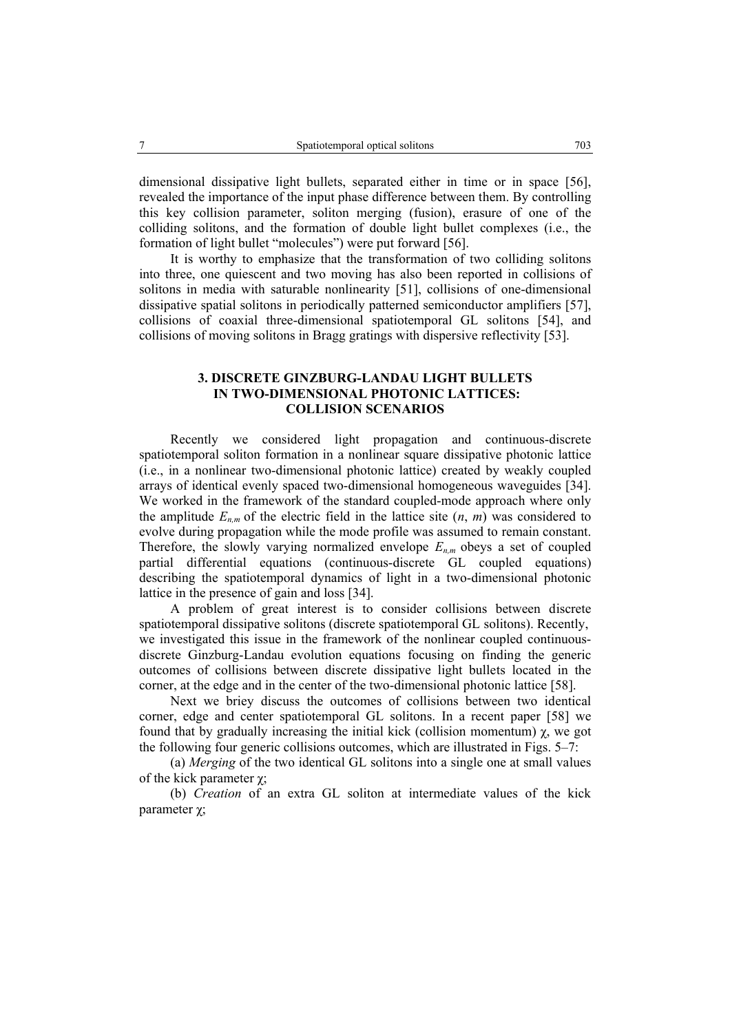dimensional dissipative light bullets, separated either in time or in space [56], revealed the importance of the input phase difference between them. By controlling this key collision parameter, soliton merging (fusion), erasure of one of the colliding solitons, and the formation of double light bullet complexes (i.e., the formation of light bullet "molecules") were put forward [56].

It is worthy to emphasize that the transformation of two colliding solitons into three, one quiescent and two moving has also been reported in collisions of solitons in media with saturable nonlinearity [51], collisions of one-dimensional dissipative spatial solitons in periodically patterned semiconductor amplifiers [57], collisions of coaxial three-dimensional spatiotemporal GL solitons [54], and collisions of moving solitons in Bragg gratings with dispersive reflectivity [53].

### **3. DISCRETE GINZBURG-LANDAU LIGHT BULLETS IN TWO-DIMENSIONAL PHOTONIC LATTICES: COLLISION SCENARIOS**

Recently we considered light propagation and continuous-discrete spatiotemporal soliton formation in a nonlinear square dissipative photonic lattice (i.e., in a nonlinear two-dimensional photonic lattice) created by weakly coupled arrays of identical evenly spaced two-dimensional homogeneous waveguides [34]. We worked in the framework of the standard coupled-mode approach where only the amplitude  $E_{n,m}$  of the electric field in the lattice site  $(n, m)$  was considered to evolve during propagation while the mode profile was assumed to remain constant. Therefore, the slowly varying normalized envelope  $E_{n,m}$  obeys a set of coupled partial differential equations (continuous-discrete GL coupled equations) describing the spatiotemporal dynamics of light in a two-dimensional photonic lattice in the presence of gain and loss [34].

A problem of great interest is to consider collisions between discrete spatiotemporal dissipative solitons (discrete spatiotemporal GL solitons). Recently, we investigated this issue in the framework of the nonlinear coupled continuousdiscrete Ginzburg-Landau evolution equations focusing on finding the generic outcomes of collisions between discrete dissipative light bullets located in the corner, at the edge and in the center of the two-dimensional photonic lattice [58].

Next we briey discuss the outcomes of collisions between two identical corner, edge and center spatiotemporal GL solitons. In a recent paper [58] we found that by gradually increasing the initial kick (collision momentum)  $\gamma$ , we got the following four generic collisions outcomes, which are illustrated in Figs. 5–7:

(a) *Merging* of the two identical GL solitons into a single one at small values of the kick parameter  $χ$ ;

(b) *Creation* of an extra GL soliton at intermediate values of the kick parameter χ;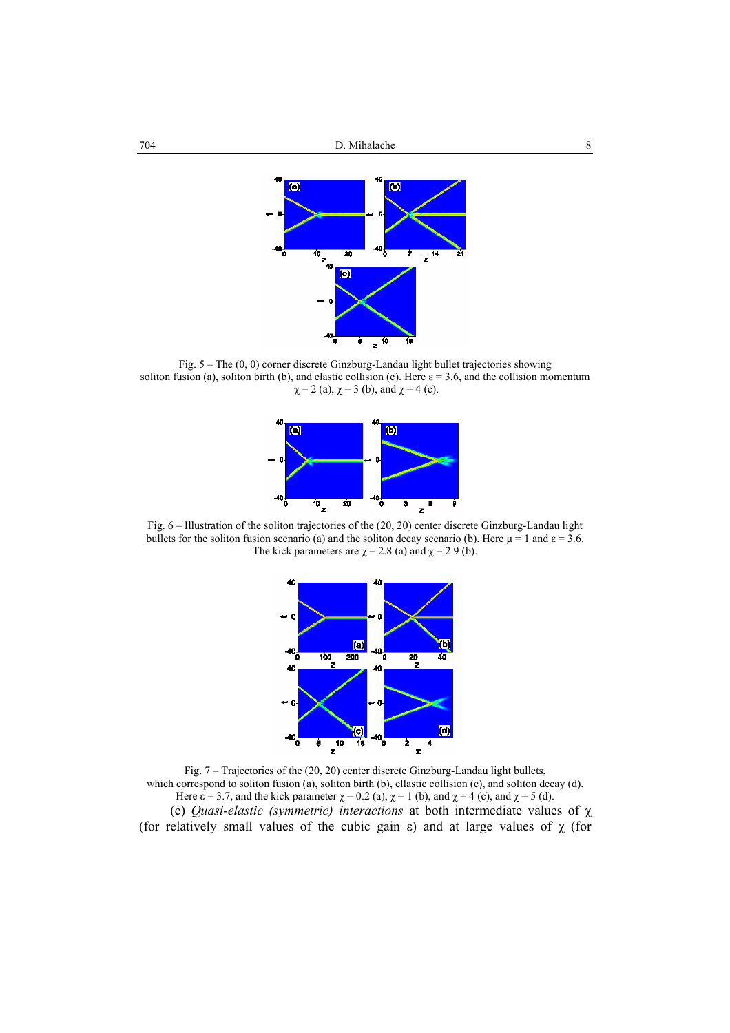

Fig. 5 – The (0, 0) corner discrete Ginzburg-Landau light bullet trajectories showing soliton fusion (a), soliton birth (b), and elastic collision (c). Here  $\varepsilon = 3.6$ , and the collision momentum  $\chi = 2$  (a),  $\chi = 3$  (b), and  $\chi = 4$  (c).



Fig. 6 – Illustration of the soliton trajectories of the (20, 20) center discrete Ginzburg-Landau light bullets for the soliton fusion scenario (a) and the soliton decay scenario (b). Here  $\mu = 1$  and  $\epsilon = 3.6$ . The kick parameters are  $\chi$  = 2.8 (a) and  $\chi$  = 2.9 (b).



Fig. 7 – Trajectories of the (20, 20) center discrete Ginzburg-Landau light bullets, which correspond to soliton fusion (a), soliton birth (b), ellastic collision (c), and soliton decay (d). Here  $\varepsilon = 3.7$ , and the kick parameter  $\chi = 0.2$  (a),  $\chi = 1$  (b), and  $\chi = 4$  (c), and  $\chi = 5$  (d). (c) *Quasi-elastic (symmetric) interactions* at both intermediate values of χ (for relatively small values of the cubic gain  $\varepsilon$ ) and at large values of  $\chi$  (for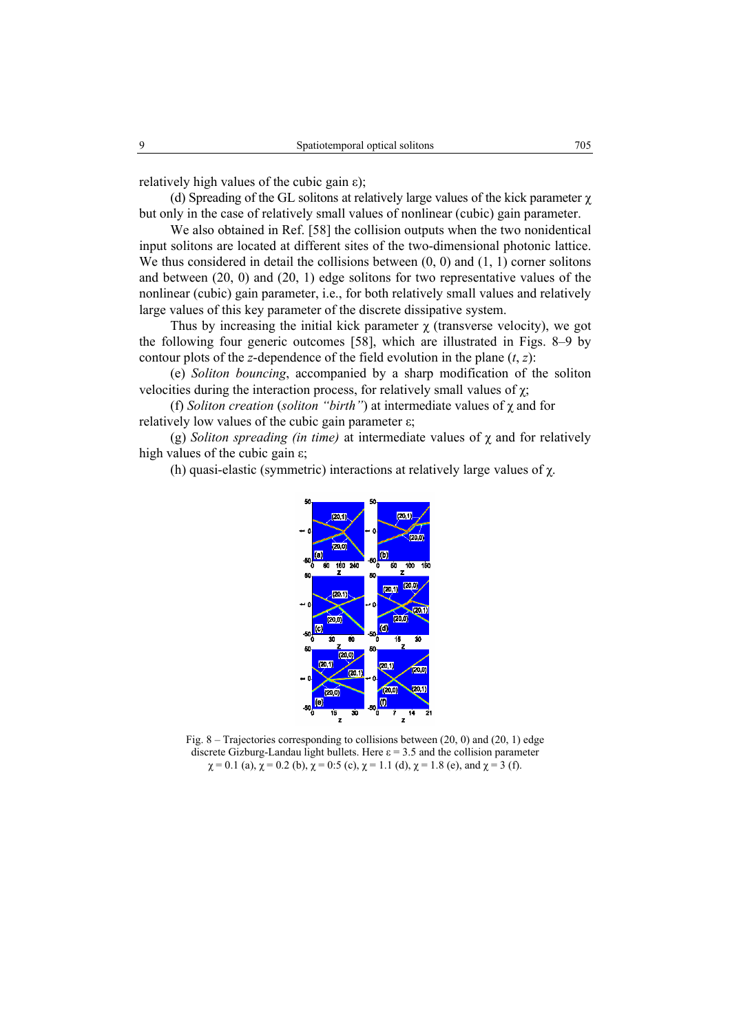relatively high values of the cubic gain ε);

(d) Spreading of the GL solitons at relatively large values of the kick parameter χ but only in the case of relatively small values of nonlinear (cubic) gain parameter.

We also obtained in Ref. [58] the collision outputs when the two nonidentical input solitons are located at different sites of the two-dimensional photonic lattice. We thus considered in detail the collisions between  $(0, 0)$  and  $(1, 1)$  corner solitons and between (20, 0) and (20, 1) edge solitons for two representative values of the nonlinear (cubic) gain parameter, i.e., for both relatively small values and relatively large values of this key parameter of the discrete dissipative system.

Thus by increasing the initial kick parameter  $\chi$  (transverse velocity), we got the following four generic outcomes [58], which are illustrated in Figs. 8–9 by contour plots of the *z*-dependence of the field evolution in the plane  $(t, z)$ :

(e) *Soliton bouncing*, accompanied by a sharp modification of the soliton velocities during the interaction process, for relatively small values of  $\chi$ ;

(f) *Soliton creation* (*soliton "birth"*) at intermediate values of χ and for relatively low values of the cubic gain parameter  $ε$ ;

(g) *Soliton spreading (in time)* at intermediate values of χ and for relatively high values of the cubic gain  $\varepsilon$ ;

(h) quasi-elastic (symmetric) interactions at relatively large values of  $\chi$ .



Fig. 8 – Trajectories corresponding to collisions between (20, 0) and (20, 1) edge discrete Gizburg-Landau light bullets. Here  $\varepsilon = 3.5$  and the collision parameter  $\chi = 0.1$  (a),  $\chi = 0.2$  (b),  $\chi = 0.5$  (c),  $\chi = 1.1$  (d),  $\chi = 1.8$  (e), and  $\chi = 3$  (f).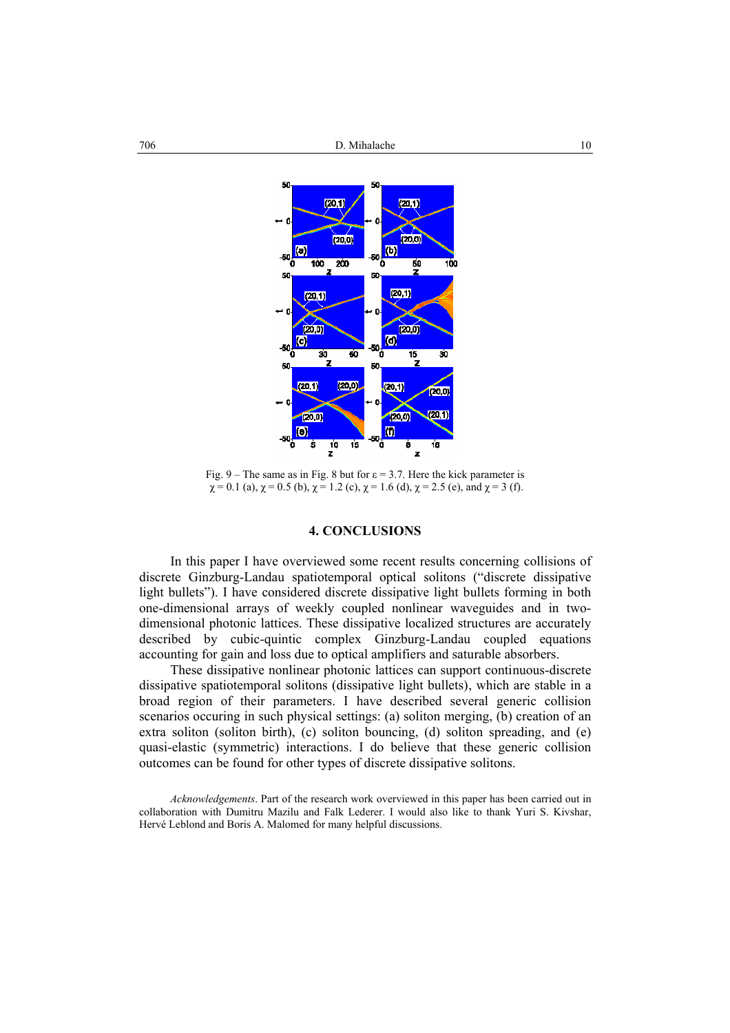

Fig. 9 – The same as in Fig. 8 but for  $\varepsilon = 3.7$ . Here the kick parameter is  $\chi$  = 0.1 (a),  $\chi$  = 0.5 (b),  $\chi$  = 1.2 (c),  $\chi$  = 1.6 (d),  $\chi$  = 2.5 (e), and  $\chi$  = 3 (f).

### **4. CONCLUSIONS**

In this paper I have overviewed some recent results concerning collisions of discrete Ginzburg-Landau spatiotemporal optical solitons ("discrete dissipative light bullets"). I have considered discrete dissipative light bullets forming in both one-dimensional arrays of weekly coupled nonlinear waveguides and in twodimensional photonic lattices. These dissipative localized structures are accurately described by cubic-quintic complex Ginzburg-Landau coupled equations accounting for gain and loss due to optical amplifiers and saturable absorbers.

These dissipative nonlinear photonic lattices can support continuous-discrete dissipative spatiotemporal solitons (dissipative light bullets), which are stable in a broad region of their parameters. I have described several generic collision scenarios occuring in such physical settings: (a) soliton merging, (b) creation of an extra soliton (soliton birth), (c) soliton bouncing, (d) soliton spreading, and (e) quasi-elastic (symmetric) interactions. I do believe that these generic collision outcomes can be found for other types of discrete dissipative solitons.

*Acknowledgements*. Part of the research work overviewed in this paper has been carried out in collaboration with Dumitru Mazilu and Falk Lederer. I would also like to thank Yuri S. Kivshar, Hervé Leblond and Boris A. Malomed for many helpful discussions.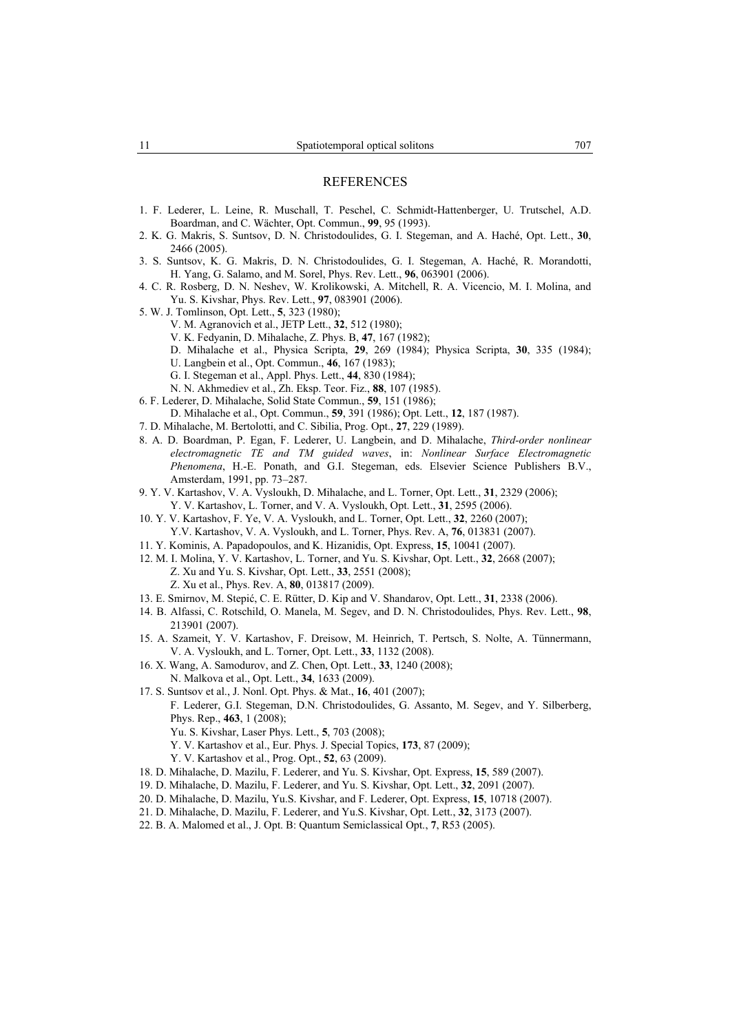- 1. F. Lederer, L. Leine, R. Muschall, T. Peschel, C. Schmidt-Hattenberger, U. Trutschel, A.D. Boardman, and C. Wächter, Opt. Commun., **99**, 95 (1993).
- 2. K. G. Makris, S. Suntsov, D. N. Christodoulides, G. I. Stegeman, and A. Haché, Opt. Lett., **30**, 2466 (2005).
- 3. S. Suntsov, K. G. Makris, D. N. Christodoulides, G. I. Stegeman, A. Haché, R. Morandotti, H. Yang, G. Salamo, and M. Sorel, Phys. Rev. Lett., **96**, 063901 (2006).
- 4. C. R. Rosberg, D. N. Neshev, W. Krolikowski, A. Mitchell, R. A. Vicencio, M. I. Molina, and Yu. S. Kivshar, Phys. Rev. Lett., **97**, 083901 (2006).
- 5. W. J. Tomlinson, Opt. Lett., **5**, 323 (1980);
	- V. M. Agranovich et al., JETP Lett., **32**, 512 (1980);
	- V. K. Fedyanin, D. Mihalache, Z. Phys. B, **47**, 167 (1982);
	- D. Mihalache et al., Physica Scripta, **29**, 269 (1984); Physica Scripta, **30**, 335 (1984);
	- U. Langbein et al., Opt. Commun., **46**, 167 (1983);
	- G. I. Stegeman et al., Appl. Phys. Lett., **44**, 830 (1984);
	- N. N. Akhmediev et al., Zh. Eksp. Teor. Fiz., **88**, 107 (1985).
- 6. F. Lederer, D. Mihalache, Solid State Commun., **59**, 151 (1986);
- D. Mihalache et al., Opt. Commun., **59**, 391 (1986); Opt. Lett., **12**, 187 (1987).
- 7. D. Mihalache, M. Bertolotti, and C. Sibilia, Prog. Opt., **27**, 229 (1989).
- 8. A. D. Boardman, P. Egan, F. Lederer, U. Langbein, and D. Mihalache, *Third-order nonlinear electromagnetic TE and TM guided waves*, in: *Nonlinear Surface Electromagnetic Phenomena*, H.-E. Ponath, and G.I. Stegeman, eds. Elsevier Science Publishers B.V., Amsterdam, 1991, pp. 73–287.
- 9. Y. V. Kartashov, V. A. Vysloukh, D. Mihalache, and L. Torner, Opt. Lett., **31**, 2329 (2006); Y. V. Kartashov, L. Torner, and V. A. Vysloukh, Opt. Lett., **31**, 2595 (2006).
- 10. Y. V. Kartashov, F. Ye, V. A. Vysloukh, and L. Torner, Opt. Lett., **32**, 2260 (2007); Y.V. Kartashov, V. A. Vysloukh, and L. Torner, Phys. Rev. A, **76**, 013831 (2007).
- 11. Y. Kominis, A. Papadopoulos, and K. Hizanidis, Opt. Express, **15**, 10041 (2007).
- 12. M. I. Molina, Y. V. Kartashov, L. Torner, and Yu. S. Kivshar, Opt. Lett., **32**, 2668 (2007); Z. Xu and Yu. S. Kivshar, Opt. Lett., **33**, 2551 (2008); Z. Xu et al., Phys. Rev. A, **80**, 013817 (2009).
- 13. E. Smirnov, M. Stepić, C. E. Rütter, D. Kip and V. Shandarov, Opt. Lett., **31**, 2338 (2006).
- 14. B. Alfassi, C. Rotschild, O. Manela, M. Segev, and D. N. Christodoulides, Phys. Rev. Lett., **98**, 213901 (2007).
- 15. A. Szameit, Y. V. Kartashov, F. Dreisow, M. Heinrich, T. Pertsch, S. Nolte, A. Tünnermann, V. A. Vysloukh, and L. Torner, Opt. Lett., **33**, 1132 (2008).
- 16. X. Wang, A. Samodurov, and Z. Chen, Opt. Lett., **33**, 1240 (2008); N. Malkova et al., Opt. Lett., **34**, 1633 (2009).
- 17. S. Suntsov et al., J. Nonl. Opt. Phys. & Mat., **16**, 401 (2007);

F. Lederer, G.I. Stegeman, D.N. Christodoulides, G. Assanto, M. Segev, and Y. Silberberg, Phys. Rep., **463**, 1 (2008);

- Yu. S. Kivshar, Laser Phys. Lett., **5**, 703 (2008);
- Y. V. Kartashov et al., Eur. Phys. J. Special Topics, **173**, 87 (2009);
- Y. V. Kartashov et al., Prog. Opt., **52**, 63 (2009).
- 18. D. Mihalache, D. Mazilu, F. Lederer, and Yu. S. Kivshar, Opt. Express, **15**, 589 (2007).
- 19. D. Mihalache, D. Mazilu, F. Lederer, and Yu. S. Kivshar, Opt. Lett., **32**, 2091 (2007).
- 20. D. Mihalache, D. Mazilu, Yu.S. Kivshar, and F. Lederer, Opt. Express, **15**, 10718 (2007).
- 21. D. Mihalache, D. Mazilu, F. Lederer, and Yu.S. Kivshar, Opt. Lett., **32**, 3173 (2007).
- 22. B. A. Malomed et al., J. Opt. B: Quantum Semiclassical Opt., **7**, R53 (2005).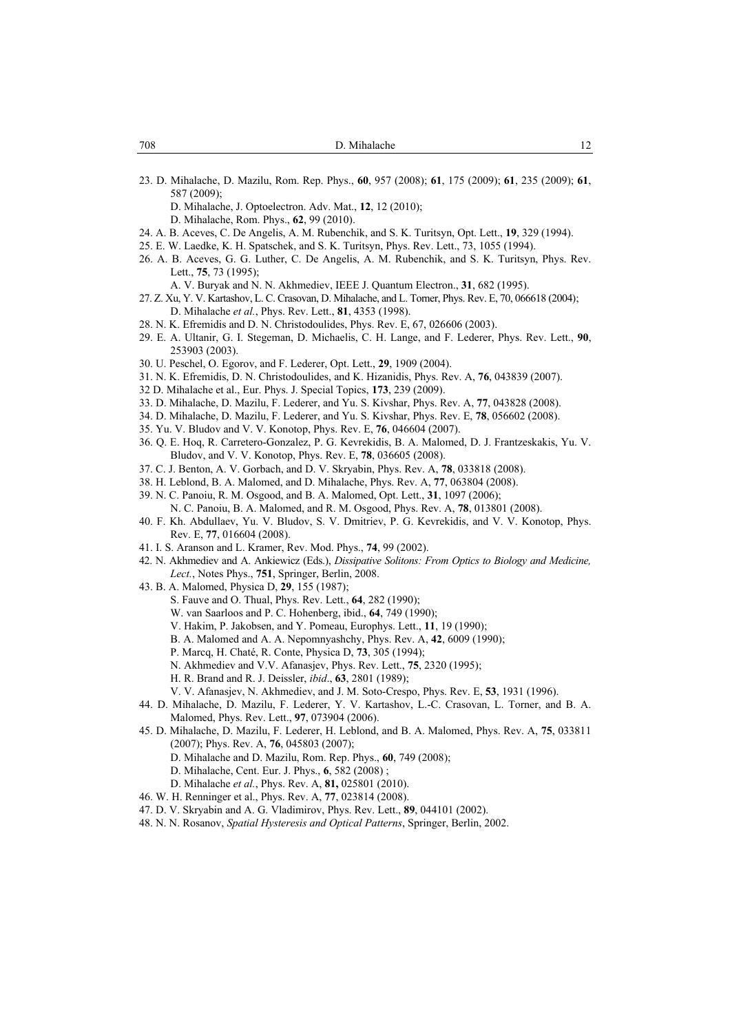23. D. Mihalache, D. Mazilu, Rom. Rep. Phys., **60**, 957 (2008); **61**, 175 (2009); **61**, 235 (2009); **61**, 587 (2009);

D. Mihalache, J. Optoelectron. Adv. Mat., **12**, 12 (2010);

D. Mihalache, Rom. Phys., **62**, 99 (2010).

- 24. A. B. Aceves, C. De Angelis, A. M. Rubenchik, and S. K. Turitsyn, Opt. Lett., **19**, 329 (1994).
- 25. E. W. Laedke, K. H. Spatschek, and S. K. Turitsyn, Phys. Rev. Lett., 73, 1055 (1994).
- 26. A. B. Aceves, G. G. Luther, C. De Angelis, A. M. Rubenchik, and S. K. Turitsyn, Phys. Rev. Lett., **75**, 73 (1995);
	- A. V. Buryak and N. N. Akhmediev, IEEE J. Quantum Electron., **31**, 682 (1995).
- 27. Z. Xu, Y. V. Kartashov, L. C. Crasovan, D. Mihalache, and L. Torner, Phys. Rev. E, 70, 066618 (2004); D. Mihalache *et al.*, Phys. Rev. Lett., **81**, 4353 (1998).
- 28. N. K. Efremidis and D. N. Christodoulides, Phys. Rev. E, 67, 026606 (2003).
- 29. E. A. Ultanir, G. I. Stegeman, D. Michaelis, C. H. Lange, and F. Lederer, Phys. Rev. Lett., **90**, 253903 (2003).
- 30. U. Peschel, O. Egorov, and F. Lederer, Opt. Lett., **29**, 1909 (2004).
- 31. N. K. Efremidis, D. N. Christodoulides, and K. Hizanidis, Phys. Rev. A, **76**, 043839 (2007).
- 32 D. Mihalache et al., Eur. Phys. J. Special Topics, **173**, 239 (2009).
- 33. D. Mihalache, D. Mazilu, F. Lederer, and Yu. S. Kivshar, Phys. Rev. A, **77**, 043828 (2008).
- 34. D. Mihalache, D. Mazilu, F. Lederer, and Yu. S. Kivshar, Phys. Rev. E, **78**, 056602 (2008).
- 35. Yu. V. Bludov and V. V. Konotop, Phys. Rev. E, **76**, 046604 (2007).
- 36. Q. E. Hoq, R. Carretero-Gonzalez, P. G. Kevrekidis, B. A. Malomed, D. J. Frantzeskakis, Yu. V. Bludov, and V. V. Konotop, Phys. Rev. E, **78**, 036605 (2008).
- 37. C. J. Benton, A. V. Gorbach, and D. V. Skryabin, Phys. Rev. A, **78**, 033818 (2008).
- 38. H. Leblond, B. A. Malomed, and D. Mihalache, Phys. Rev. A, **77**, 063804 (2008).
- 39. N. C. Panoiu, R. M. Osgood, and B. A. Malomed, Opt. Lett., **31**, 1097 (2006); N. C. Panoiu, B. A. Malomed, and R. M. Osgood, Phys. Rev. A, **78**, 013801 (2008).
- 40. F. Kh. Abdullaev, Yu. V. Bludov, S. V. Dmitriev, P. G. Kevrekidis, and V. V. Konotop, Phys. Rev. E, **77**, 016604 (2008).
- 41. I. S. Aranson and L. Kramer, Rev. Mod. Phys., **74**, 99 (2002).
- 42. N. Akhmediev and A. Ankiewicz (Eds.), *Dissipative Solitons: From Optics to Biology and Medicine, Lect.*, Notes Phys., **751**, Springer, Berlin, 2008.
- 43. B. A. Malomed, Physica D, **29**, 155 (1987);
	- S. Fauve and O. Thual, Phys. Rev. Lett., **64**, 282 (1990);
		- W. van Saarloos and P. C. Hohenberg, ibid., **64**, 749 (1990);
		- V. Hakim, P. Jakobsen, and Y. Pomeau, Europhys. Lett., **11**, 19 (1990);
		- B. A. Malomed and A. A. Nepomnyashchy, Phys. Rev. A, **42**, 6009 (1990);
	- P. Marcq, H. Chaté, R. Conte, Physica D, **73**, 305 (1994);
	- N. Akhmediev and V.V. Afanasjev, Phys. Rev. Lett., **75**, 2320 (1995);
	- H. R. Brand and R. J. Deissler, *ibid*., **63**, 2801 (1989);
	- V. V. Afanasjev, N. Akhmediev, and J. M. Soto-Crespo, Phys. Rev. E, **53**, 1931 (1996).
- 44. D. Mihalache, D. Mazilu, F. Lederer, Y. V. Kartashov, L.-C. Crasovan, L. Torner, and B. A. Malomed, Phys. Rev. Lett., **97**, 073904 (2006).
- 45. D. Mihalache, D. Mazilu, F. Lederer, H. Leblond, and B. A. Malomed, Phys. Rev. A, **75**, 033811 (2007); Phys. Rev. A, **76**, 045803 (2007);
	- D. Mihalache and D. Mazilu, Rom. Rep. Phys., **60**, 749 (2008);
	- D. Mihalache, Cent. Eur. J. Phys., **6**, 582 (2008) ;
	- D. Mihalache *et al.*, Phys. Rev. A, **81,** 025801 (2010).
- 46. W. H. Renninger et al., Phys. Rev. A, **77**, 023814 (2008).
- 47. D. V. Skryabin and A. G. Vladimirov, Phys. Rev. Lett., **89**, 044101 (2002).
- 48. N. N. Rosanov, *Spatial Hysteresis and Optical Patterns*, Springer, Berlin, 2002.